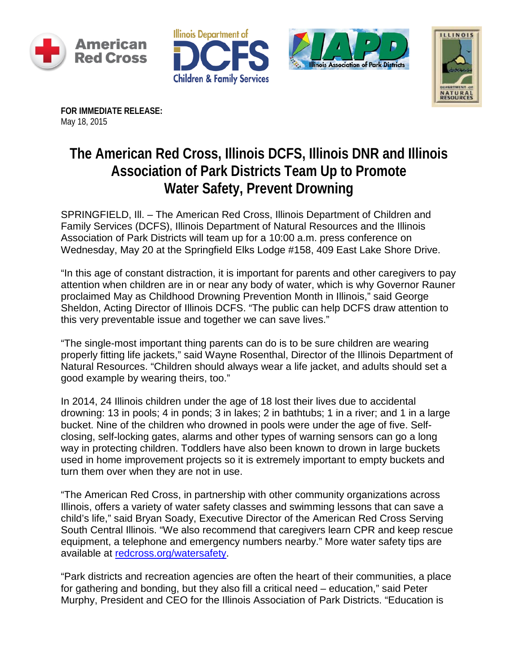







**FOR IMMEDIATE RELEASE:**  May 18, 2015

## **The American Red Cross, Illinois DCFS, Illinois DNR and Illinois Association of Park Districts Team Up to Promote Water Safety, Prevent Drowning**

SPRINGFIELD, Ill. – The American Red Cross, Illinois Department of Children and Family Services (DCFS), Illinois Department of Natural Resources and the Illinois Association of Park Districts will team up for a 10:00 a.m. press conference on Wednesday, May 20 at the Springfield Elks Lodge #158, 409 East Lake Shore Drive.

"In this age of constant distraction, it is important for parents and other caregivers to pay attention when children are in or near any body of water, which is why Governor Rauner proclaimed May as Childhood Drowning Prevention Month in Illinois," said George Sheldon, Acting Director of Illinois DCFS. "The public can help DCFS draw attention to this very preventable issue and together we can save lives."

"The single-most important thing parents can do is to be sure children are wearing properly fitting life jackets," said Wayne Rosenthal, Director of the Illinois Department of Natural Resources. "Children should always wear a life jacket, and adults should set a good example by wearing theirs, too."

In 2014, 24 Illinois children under the age of 18 lost their lives due to accidental drowning: 13 in pools; 4 in ponds; 3 in lakes; 2 in bathtubs; 1 in a river; and 1 in a large bucket. Nine of the children who drowned in pools were under the age of five. Selfclosing, self-locking gates, alarms and other types of warning sensors can go a long way in protecting children. Toddlers have also been known to drown in large buckets used in home improvement projects so it is extremely important to empty buckets and turn them over when they are not in use.

"The American Red Cross, in partnership with other community organizations across Illinois, offers a variety of water safety classes and swimming lessons that can save a child's life," said Bryan Soady, Executive Director of the American Red Cross Serving South Central Illinois. "We also recommend that caregivers learn CPR and keep rescue equipment, a telephone and emergency numbers nearby." More water safety tips are available at [redcross.org/watersafety.](http://www.redcross.org/prepare/disaster/water-safety)

"Park districts and recreation agencies are often the heart of their communities, a place for gathering and bonding, but they also fill a critical need – education," said Peter Murphy, President and CEO for the Illinois Association of Park Districts. "Education is